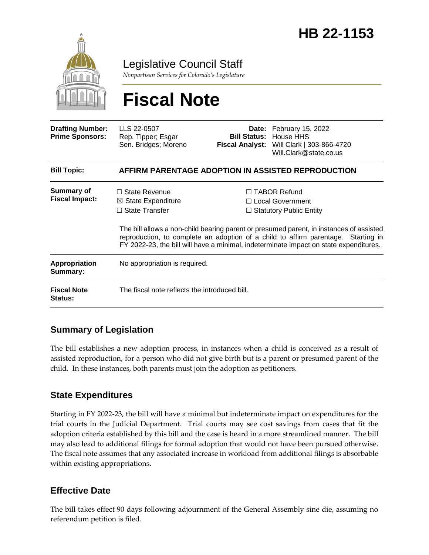

Legislative Council Staff

*Nonpartisan Services for Colorado's Legislature*

# **Fiscal Note**

| <b>Drafting Number:</b><br><b>Prime Sponsors:</b> | LLS 22-0507<br>Rep. Tipper; Esgar<br>Sen. Bridges; Moreno                                                                                                                                                                                                             |  | Date: February 15, 2022<br><b>Bill Status:</b> House HHS<br>Fiscal Analyst: Will Clark   303-866-4720<br>Will.Clark@state.co.us |  |
|---------------------------------------------------|-----------------------------------------------------------------------------------------------------------------------------------------------------------------------------------------------------------------------------------------------------------------------|--|---------------------------------------------------------------------------------------------------------------------------------|--|
| <b>Bill Topic:</b>                                | AFFIRM PARENTAGE ADOPTION IN ASSISTED REPRODUCTION                                                                                                                                                                                                                    |  |                                                                                                                                 |  |
| <b>Summary of</b><br><b>Fiscal Impact:</b>        | $\Box$ State Revenue<br>$\boxtimes$ State Expenditure<br>$\Box$ State Transfer                                                                                                                                                                                        |  | $\Box$ TABOR Refund<br>□ Local Government<br>$\Box$ Statutory Public Entity                                                     |  |
|                                                   | The bill allows a non-child bearing parent or presumed parent, in instances of assisted<br>reproduction, to complete an adoption of a child to affirm parentage. Starting in<br>FY 2022-23, the bill will have a minimal, indeterminate impact on state expenditures. |  |                                                                                                                                 |  |
| <b>Appropriation</b><br>Summary:                  | No appropriation is required.                                                                                                                                                                                                                                         |  |                                                                                                                                 |  |
| <b>Fiscal Note</b><br><b>Status:</b>              | The fiscal note reflects the introduced bill.                                                                                                                                                                                                                         |  |                                                                                                                                 |  |

### **Summary of Legislation**

The bill establishes a new adoption process, in instances when a child is conceived as a result of assisted reproduction, for a person who did not give birth but is a parent or presumed parent of the child. In these instances, both parents must join the adoption as petitioners.

#### **State Expenditures**

Starting in FY 2022-23, the bill will have a minimal but indeterminate impact on expenditures for the trial courts in the Judicial Department. Trial courts may see cost savings from cases that fit the adoption criteria established by this bill and the case is heard in a more streamlined manner. The bill may also lead to additional filings for formal adoption that would not have been pursued otherwise. The fiscal note assumes that any associated increase in workload from additional filings is absorbable within existing appropriations.

#### **Effective Date**

The bill takes effect 90 days following adjournment of the General Assembly sine die, assuming no referendum petition is filed.